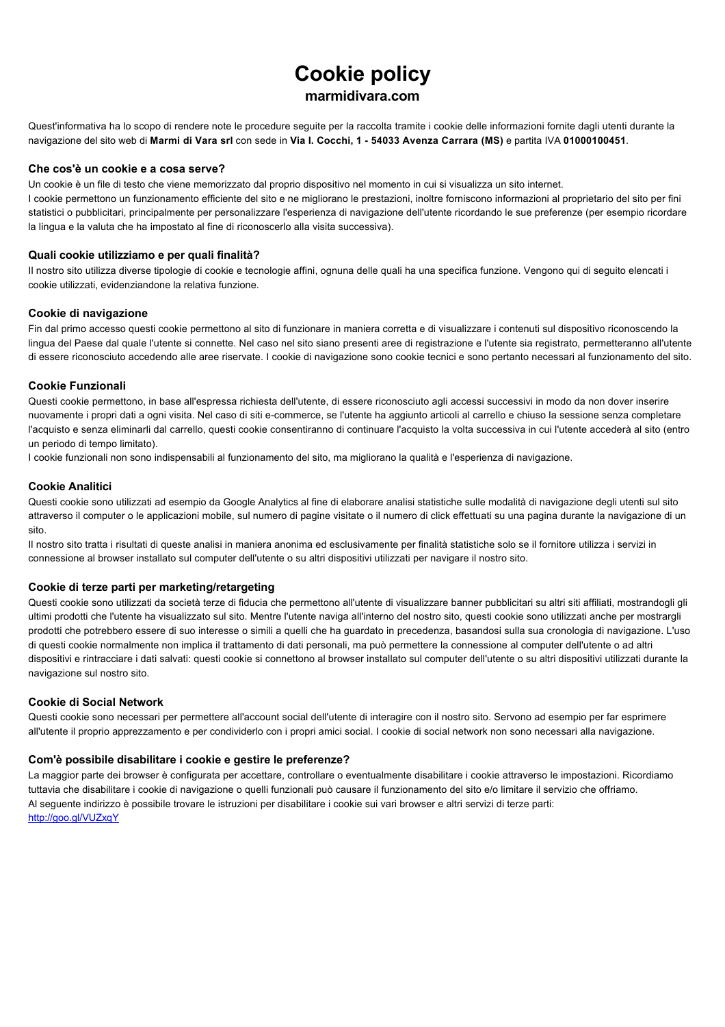# **Cookie policy**

## **marmidivara.com**

Quest'informativa ha lo scopo di rendere note le procedure seguite per la raccolta tramite i cookie delle informazioni fornite dagli utenti durante la navigazione del sito web di **Marmi di Vara srl** con sede in **Via I. Cocchi, 1 54033 Avenza Carrara (MS)** e partita IVA **01000100451**.

### **Che cos'è un cookie e a cosa serve?**

Un cookie è un file di testo che viene memorizzato dal proprio dispositivo nel momento in cui si visualizza un sito internet.

I cookie permettono un funzionamento efficiente del sito e ne migliorano le prestazioni, inoltre forniscono informazioni al proprietario del sito per fini statistici o pubblicitari, principalmente per personalizzare l'esperienza di navigazione dell'utente ricordando le sue preferenze (per esempio ricordare la lingua e la valuta che ha impostato al fine di riconoscerlo alla visita successiva).

### **Quali cookie utilizziamo e per quali finalità?**

Il nostro sito utilizza diverse tipologie di cookie e tecnologie affini, ognuna delle quali ha una specifica funzione. Vengono qui di seguito elencati i cookie utilizzati, evidenziandone la relativa funzione.

### **Cookie di navigazione**

Fin dal primo accesso questi cookie permettono al sito di funzionare in maniera corretta e di visualizzare i contenuti sul dispositivo riconoscendo la lingua del Paese dal quale l'utente si connette. Nel caso nel sito siano presenti aree di registrazione e l'utente sia registrato, permetteranno all'utente di essere riconosciuto accedendo alle aree riservate. I cookie di navigazione sono cookie tecnici e sono pertanto necessari al funzionamento del sito.

### **Cookie Funzionali**

Questi cookie permettono, in base all'espressa richiesta dell'utente, di essere riconosciuto agli accessi successivi in modo da non dover inserire nuovamente i propri dati a ogni visita. Nel caso di siti ecommerce, se l'utente ha aggiunto articoli al carrello e chiuso la sessione senza completare l'acquisto e senza eliminarli dal carrello, questi cookie consentiranno di continuare l'acquisto la volta successiva in cui l'utente accederà al sito (entro un periodo di tempo limitato).

I cookie funzionali non sono indispensabili al funzionamento del sito, ma migliorano la qualità e l'esperienza di navigazione.

### **Cookie Analitici**

Questi cookie sono utilizzati ad esempio da Google Analytics al fine di elaborare analisi statistiche sulle modalità di navigazione degli utenti sul sito attraverso il computer o le applicazioni mobile, sul numero di pagine visitate o il numero di click effettuati su una pagina durante la navigazione di un sito.

Il nostro sito tratta i risultati di queste analisi in maniera anonima ed esclusivamente per finalità statistiche solo se il fornitore utilizza i servizi in connessione al browser installato sul computer dell'utente o su altri dispositivi utilizzati per navigare il nostro sito.

### **Cookie di terze parti per marketing/retargeting**

Questi cookie sono utilizzati da società terze di fiducia che permettono all'utente di visualizzare banner pubblicitari su altri siti affiliati, mostrandogli gli ultimi prodotti che l'utente ha visualizzato sul sito. Mentre l'utente naviga all'interno del nostro sito, questi cookie sono utilizzati anche per mostrargli prodotti che potrebbero essere di suo interesse o simili a quelli che ha guardato in precedenza, basandosi sulla sua cronologia di navigazione. L'uso di questi cookie normalmente non implica il trattamento di dati personali, ma può permettere la connessione al computer dell'utente o ad altri dispositivi e rintracciare i dati salvati: questi cookie si connettono al browser installato sul computer dell'utente o su altri dispositivi utilizzati durante la navigazione sul nostro sito.

### **Cookie di Social Network**

Questi cookie sono necessari per permettere all'account social dell'utente di interagire con il nostro sito. Servono ad esempio per far esprimere all'utente il proprio apprezzamento e per condividerlo con i propri amici social. I cookie di social network non sono necessari alla navigazione.

### **Com'è possibile disabilitare i cookie e gestire le preferenze?**

La maggior parte dei browser è configurata per accettare, controllare o eventualmente disabilitare i cookie attraverso le impostazioni. Ricordiamo tuttavia che disabilitare i cookie di navigazione o quelli funzionali può causare il funzionamento del sito e/o limitare il servizio che offriamo. Al seguente indirizzo è possibile trovare le istruzioni per disabilitare i cookie sui vari browser e altri servizi di terze parti: <http://goo.gl/VUZxqY>